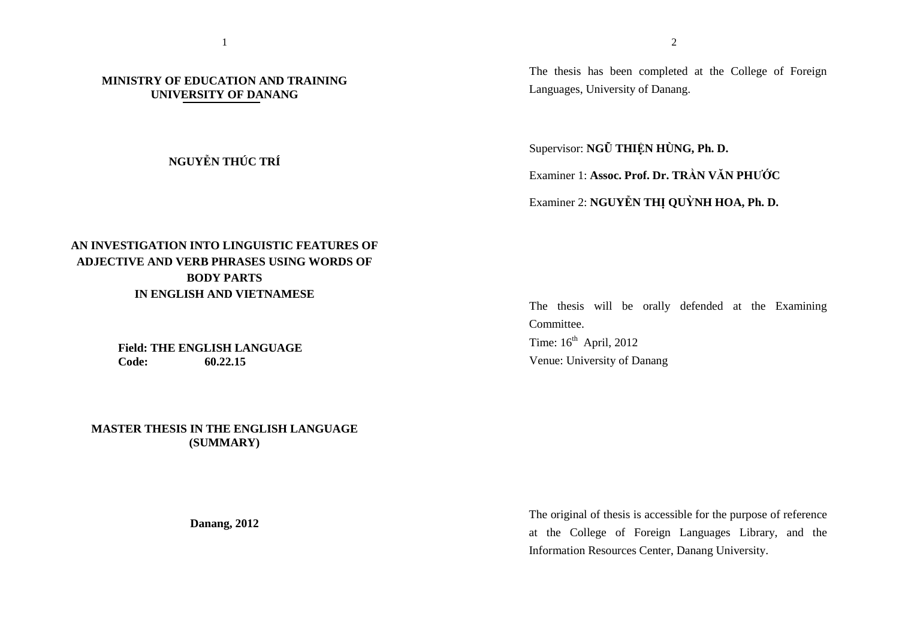## **MINISTRY OF EDUCATION AND TRAINING UNIVERSITY OF DANANG**

## **NGUYỄN THÚC TRÍ**

The thesis has been completed at the College of Foreign Languages, University of Danang.

Supervisor: **NGŨ THIỆN HÙNG, Ph. D.** 

Examiner 1: **Assoc. Prof. Dr. TRẦN VĂN PHƯỚC** 

Examiner 2: **NGUYỄN THỊ QUỲNH HOA, Ph. D.** 

## **AN INVESTIGATION INTO LINGUISTIC FEATURES OF ADJECTIVE AND VERB PHRASES USING WORDS OF BODY PARTS IN ENGLISH AND VIETNAMESE**

**Field: THE ENGLISH LANGUAGECode:60.22.15**

**MASTER THESIS IN THE ENGLISH LANGUAGE (SUMMARY)** 

The thesis will be orally defended at the Examining**Committee** Time:  $16<sup>th</sup>$  April, 2012 Venue: University of Danang

The original of thesis is accessible for the purpose of reference at the College of Foreign Languages Library, and the Information Resources Center, Danang University.

**Danang, 2012**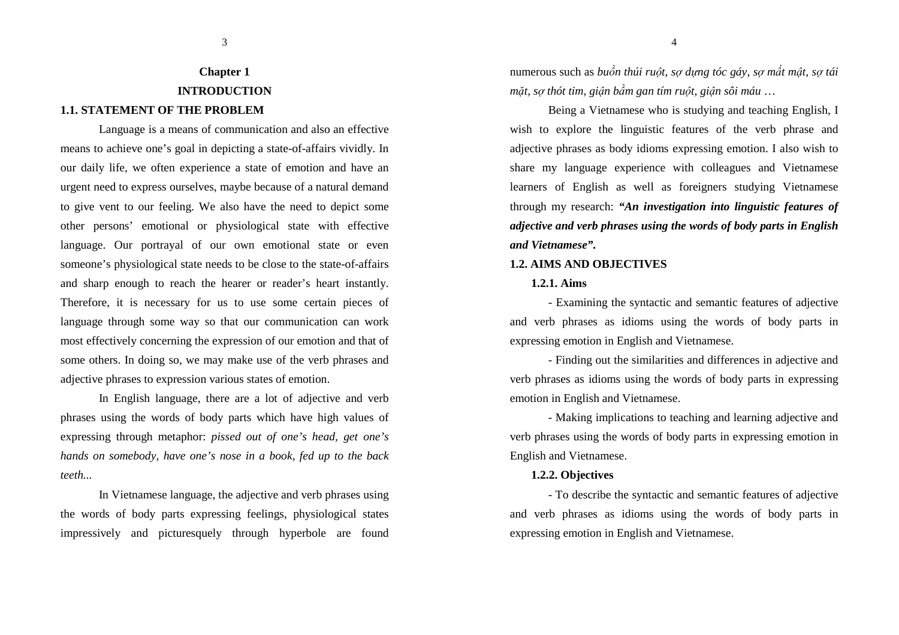# **Chapter 1 INTRODUCTION**

3

## **1.1. STATEMENT OF THE PROBLEM**

Language is a means of communication and also an effective means to achieve one's goal in depicting a state-of-affairs vividly. In our daily life, we often experience a state of emotion and have an urgent need to express ourselves, maybe because of a natural demand to give vent to our feeling. We also have the need to depict some other persons' emotional or physiological state with effective language. Our portrayal of our own emotional state or even someone's physiological state needs to be close to the state-of-affairs and sharp enough to reach the hearer or reader's heart instantly. Therefore, it is necessary for us to use some certain pieces of language through some way so that our communication can work most effectively concerning the expression of our emotion and that of some others. In doing so, we may make use of the verb phrases and adjective phrases to expression various states of emotion.

In English language, there are a lot of adjective and verb phrases using the words of body parts which have high values of expressing through metaphor: *pissed out of one's head, get one's hands on somebody, have one's nose in a book, fed up to the back teeth...* 

In Vietnamese language, the adjective and verb phrases using the words of body parts expressing feelings, physiological states impressively and picturesquely through hyperbole are found numerous such as *buồn thúi ruột, sợ dựng tóc gáy, sợ mất mật, sợ tái <sup>m</sup>ặt, sợ thót tim, giận bầm gan tím ruột, giận sôi máu* …

4

Being a Vietnamese who is studying and teaching English, I wish to explore the linguistic features of the verb phrase and adjective phrases as body idioms expressing emotion. I also wish to share my language experience with colleagues and Vietnamese learners of English as well as foreigners studying Vietnamese through my research: *"An investigation into linguistic features of adjective and verb phrases using the words of body parts in English and Vietnamese".* 

#### **1.2. AIMS AND OBJECTIVES**

#### **1.2.1. Aims**

- Examining the syntactic and semantic features of adjective and verb phrases as idioms using the words of body parts in expressing emotion in English and Vietnamese.

- Finding out the similarities and differences in adjective and verb phrases as idioms using the words of body parts in expressing emotion in English and Vietnamese.

- Making implications to teaching and learning adjective and verb phrases using the words of body parts in expressing emotion in English and Vietnamese.

#### **1.2.2. Objectives**

- To describe the syntactic and semantic features of adjective and verb phrases as idioms using the words of body parts in expressing emotion in English and Vietnamese.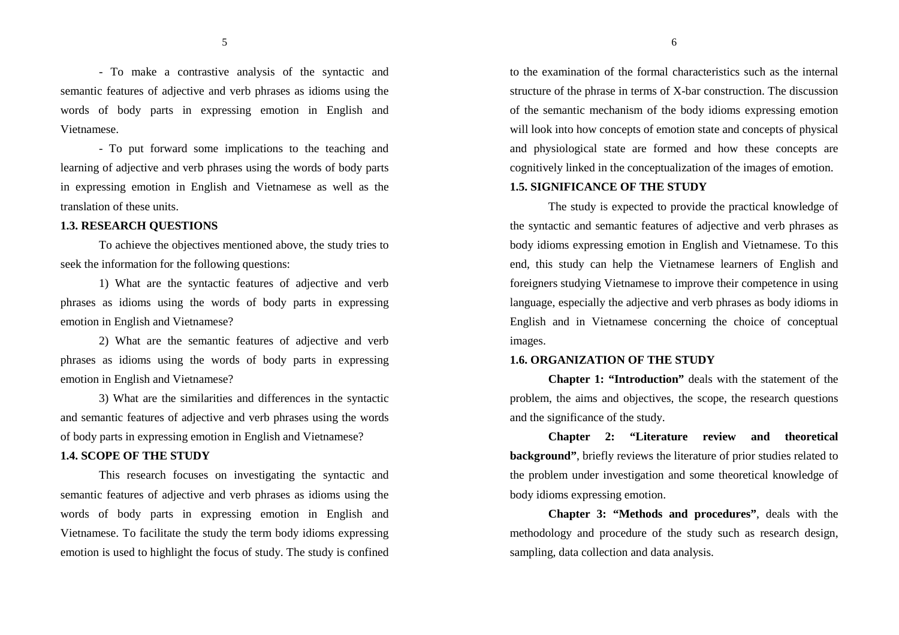- To make a contrastive analysis of the syntactic and semantic features of adjective and verb phrases as idioms using the words of body parts in expressing emotion in English and Vietnamese.

- To put forward some implications to the teaching and learning of adjective and verb phrases using the words of body parts in expressing emotion in English and Vietnamese as well as the translation of these units.

## **1.3. RESEARCH QUESTIONS**

To achieve the objectives mentioned above, the study tries to seek the information for the following questions:

1) What are the syntactic features of adjective and verb phrases as idioms using the words of body parts in expressing emotion in English and Vietnamese?

2) What are the semantic features of adjective and verb phrases as idioms using the words of body parts in expressing emotion in English and Vietnamese?

3) What are the similarities and differences in the syntactic and semantic features of adjective and verb phrases using the words of body parts in expressing emotion in English and Vietnamese?

#### **1.4. SCOPE OF THE STUDY**

This research focuses on investigating the syntactic and semantic features of adjective and verb phrases as idioms using the words of body parts in expressing emotion in English and Vietnamese. To facilitate the study the term body idioms expressing emotion is used to highlight the focus of study. The study is confined

to the examination of the formal characteristics such as the internal structure of the phrase in terms of X-bar construction. The discussion of the semantic mechanism of the body idioms expressing emotion will look into how concepts of emotion state and concepts of physical and physiological state are formed and how these concepts are cognitively linked in the conceptualization of the images of emotion.

## **1.5. SIGNIFICANCE OF THE STUDY**

The study is expected to provide the practical knowledge of the syntactic and semantic features of adjective and verb phrases as body idioms expressing emotion in English and Vietnamese. To this end, this study can help the Vietnamese learners of English and foreigners studying Vietnamese to improve their competence in using language, especially the adjective and verb phrases as body idioms in English and in Vietnamese concerning the choice of conceptual images.

## **1.6. ORGANIZATION OF THE STUDY**

**Chapter 1: "Introduction"** deals with the statement of the problem, the aims and objectives, the scope, the research questions and the significance of the study.

**Chapter 2: "Literature review and theoretical background"**, briefly reviews the literature of prior studies related to the problem under investigation and some theoretical knowledge of body idioms expressing emotion.

**Chapter 3: "Methods and procedures"**, deals with the methodology and procedure of the study such as research design, sampling, data collection and data analysis.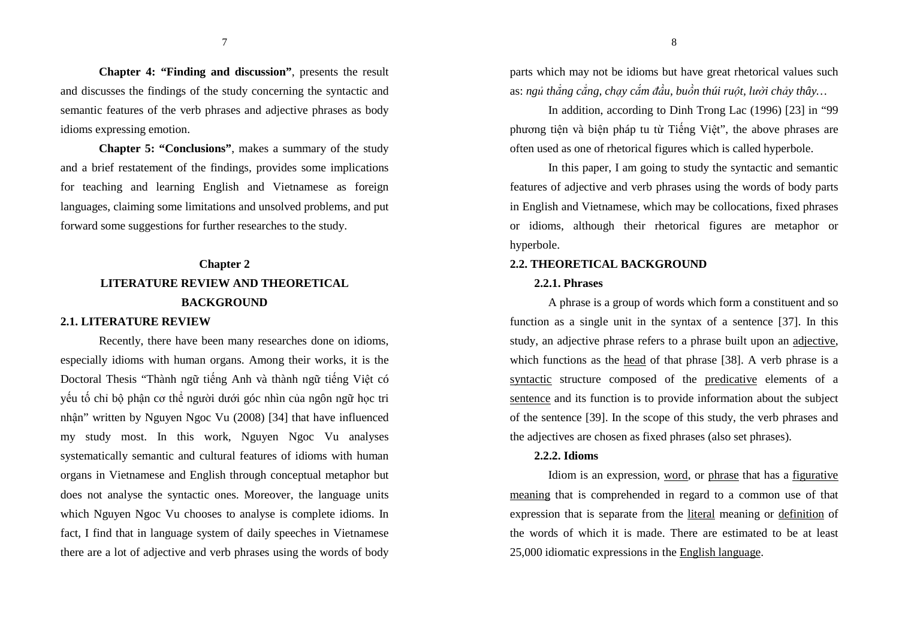**Chapter 4: "Finding and discussion"**, presents the result and discusses the findings of the study concerning the syntactic and semantic features of the verb phrases and adjective phrases as body idioms expressing emotion.

**Chapter 5: "Conclusions"**, makes a summary of the study and a brief restatement of the findings, provides some implications for teaching and learning English and Vietnamese as foreign languages, claiming some limitations and unsolved problems, and put forward some suggestions for further researches to the study.

# **Chapter 2 LITERATURE REVIEW AND THEORETICAL BACKGROUND**

#### **2.1. LITERATURE REVIEW**

Recently, there have been many researches done on idioms, especially idioms with human organs. Among their works, it is the Doctoral Thesis "Thành ngữ tiếng Anh và thành ngữ tiếng Việt có yếu tố chỉ bộ phận cơ thể người dưới góc nhìn của ngôn ngữ học tri nhận" written by Nguyen Ngoc Vu (2008) [34] that have influenced my study most. In this work, Nguyen Ngoc Vu analyses systematically semantic and cultural features of idioms with human organs in Vietnamese and English through conceptual metaphor but does not analyse the syntactic ones. Moreover, the language units which Nguyen Ngoc Vu chooses to analyse is complete idioms. In fact, I find that in language system of daily speeches in Vietnamese there are a lot of adjective and verb phrases using the words of body

parts which may not be idioms but have great rhetorical values such as: ngủ thắng cẳng, chay cắm đầu, buồn thúi ruột, lười chảy thây...

In addition, according to Dinh Trong Lac (1996) [23] in "99 phương tiện và biện pháp tu từ Tiếng Việt", the above phrases are often used as one of rhetorical figures which is called hyperbole.

In this paper, I am going to study the syntactic and semantic features of adjective and verb phrases using the words of body parts in English and Vietnamese, which may be collocations, fixed phrases or idioms, although their rhetorical figures are metaphor or hyperbole.

#### **2.2. THEORETICAL BACKGROUND**

#### **2.2.1. Phrases**

A phrase is a group of words which form a constituent and so function as a single unit in the syntax of a sentence [37]. In this study, an adjective phrase refers to a phrase built upon an adjective, which functions as the head of that phrase [38]. A verb phrase is a syntactic structure composed of the predicative elements of a sentence and its function is to provide information about the subject of the sentence [39]. In the scope of this study, the verb phrases and the adjectives are chosen as fixed phrases (also set phrases).

#### **2.2.2. Idioms**

Idiom is an expression, word, or phrase that has a figurativemeaning that is comprehended in regard to a common use of that expression that is separate from the literal meaning or definition of the words of which it is made. There are estimated to be at least 25,000 idiomatic expressions in the English language.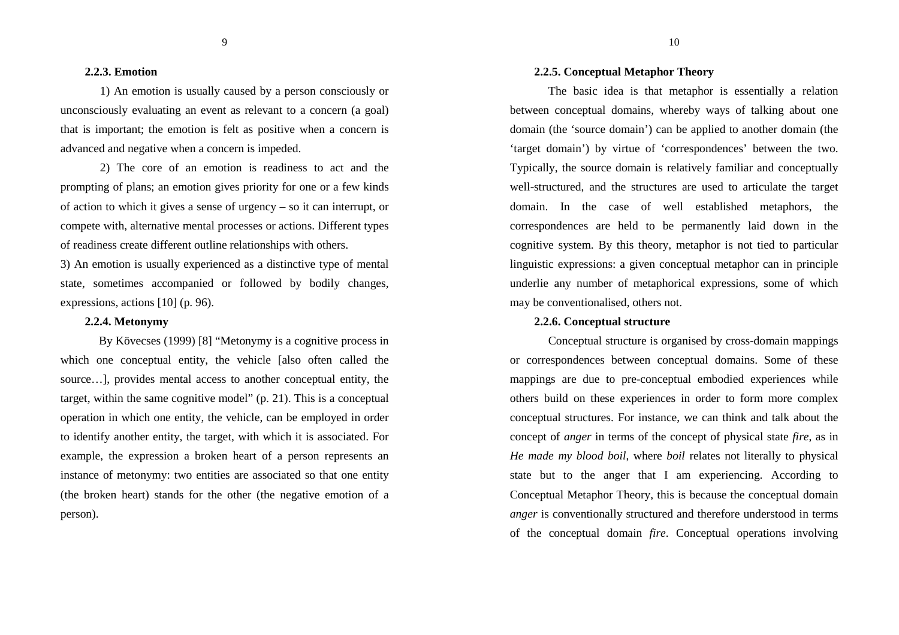#### **2.2.3. Emotion**

1) An emotion is usually caused by a person consciously or unconsciously evaluating an event as relevant to a concern (a goal) that is important; the emotion is felt as positive when a concern is advanced and negative when a concern is impeded.

2) The core of an emotion is readiness to act and the prompting of plans; an emotion gives priority for one or a few kinds of action to which it gives a sense of urgency – so it can interrupt, or compete with, alternative mental processes or actions. Different types of readiness create different outline relationships with others.

3) An emotion is usually experienced as a distinctive type of mental state, sometimes accompanied or followed by bodily changes, expressions, actions [10] (p. 96).

#### **2.2.4. Metonymy**

By Kövecses (1999) [8] "Metonymy is a cognitive process in which one conceptual entity, the vehicle [also often called the source...], provides mental access to another conceptual entity, the target, within the same cognitive model" (p. 21). This is a conceptual operation in which one entity, the vehicle, can be employed in order to identify another entity, the target, with which it is associated. For example, the expression a broken heart of a person represents an instance of metonymy: two entities are associated so that one entity (the broken heart) stands for the other (the negative emotion of a person).

#### **2.2.5. Conceptual Metaphor Theory**

The basic idea is that metaphor is essentially a relation between conceptual domains, whereby ways of talking about one domain (the 'source domain') can be applied to another domain (the 'target domain') by virtue of 'correspondences' between the two. Typically, the source domain is relatively familiar and conceptually well-structured, and the structures are used to articulate the target domain. In the case of well established metaphors, the correspondences are held to be permanently laid down in the cognitive system. By this theory, metaphor is not tied to particular linguistic expressions: a given conceptual metaphor can in principle underlie any number of metaphorical expressions, some of which may be conventionalised, others not.

### **2.2.6. Conceptual structure**

Conceptual structure is organised by cross-domain mappings or correspondences between conceptual domains. Some of these mappings are due to pre-conceptual embodied experiences while others build on these experiences in order to form more complex conceptual structures. For instance, we can think and talk about the concept of *anger* in terms of the concept of physical state *fire*, as in *He made my blood boil*, where *boil* relates not literally to physical state but to the anger that I am experiencing. According to Conceptual Metaphor Theory, this is because the conceptual domain *anger* is conventionally structured and therefore understood in terms of the conceptual domain *fire*. Conceptual operations involving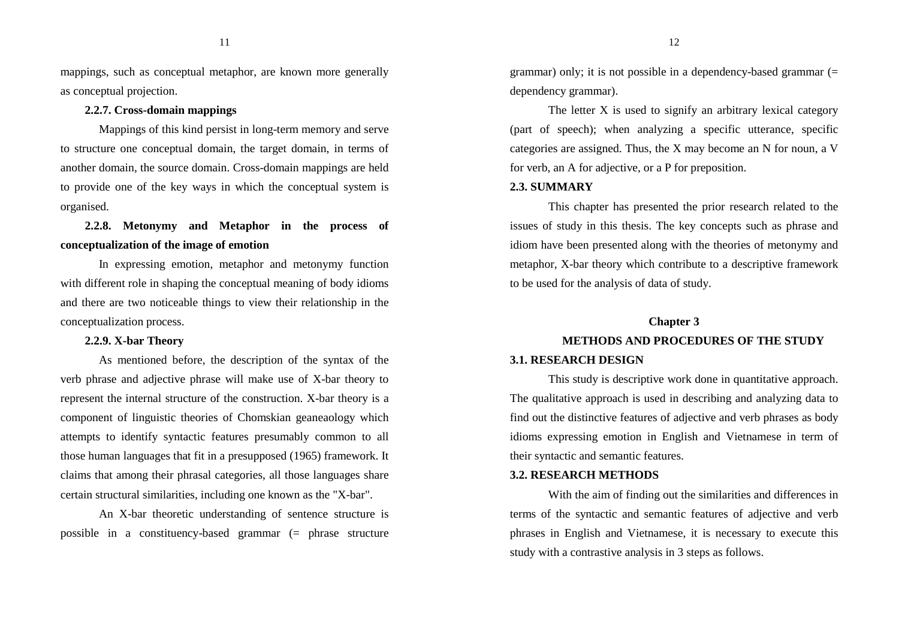mappings, such as conceptual metaphor, are known more generally as conceptual projection.

## **2.2.7. Cross-domain mappings**

Mappings of this kind persist in long-term memory and serve to structure one conceptual domain, the target domain, in terms of another domain, the source domain. Cross-domain mappings are held to provide one of the key ways in which the conceptual system is organised.

## **2.2.8. Metonymy and Metaphor in the process of conceptualization of the image of emotion**

In expressing emotion, metaphor and metonymy function with different role in shaping the conceptual meaning of body idioms and there are two noticeable things to view their relationship in the conceptualization process.

### **2.2.9. X-bar Theory**

As mentioned before, the description of the syntax of the verb phrase and adjective phrase will make use of X-bar theory to represent the internal structure of the construction. X-bar theory is a component of linguistic theories of Chomskian geaneaology which attempts to identify syntactic features presumably common to all those human languages that fit in a presupposed (1965) framework. It claims that among their phrasal categories, all those languages share certain structural similarities, including one known as the "X-bar".

An X-bar theoretic understanding of sentence structure is possible in a constituency-based grammar (= phrase structure

grammar) only; it is not possible in a dependency-based grammar (= dependency grammar).

The letter X is used to signify an arbitrary lexical category (part of speech); when analyzing a specific utterance, specific categories are assigned. Thus, the X may become an N for noun, a V for verb, an A for adjective, or a P for preposition.

#### **2.3. SUMMARY**

 This chapter has presented the prior research related to the issues of study in this thesis. The key concepts such as phrase and idiom have been presented along with the theories of metonymy and metaphor, X-bar theory which contribute to a descriptive framework to be used for the analysis of data of study.

## **Chapter 3**

## **METHODS AND PROCEDURES OF THE STUDY 3.1. RESEARCH DESIGN**

This study is descriptive work done in quantitative approach. The qualitative approach is used in describing and analyzing data to find out the distinctive features of adjective and verb phrases as body idioms expressing emotion in English and Vietnamese in term of their syntactic and semantic features.

#### **3.2. RESEARCH METHODS**

With the aim of finding out the similarities and differences in terms of the syntactic and semantic features of adjective and verb phrases in English and Vietnamese, it is necessary to execute this study with a contrastive analysis in 3 steps as follows.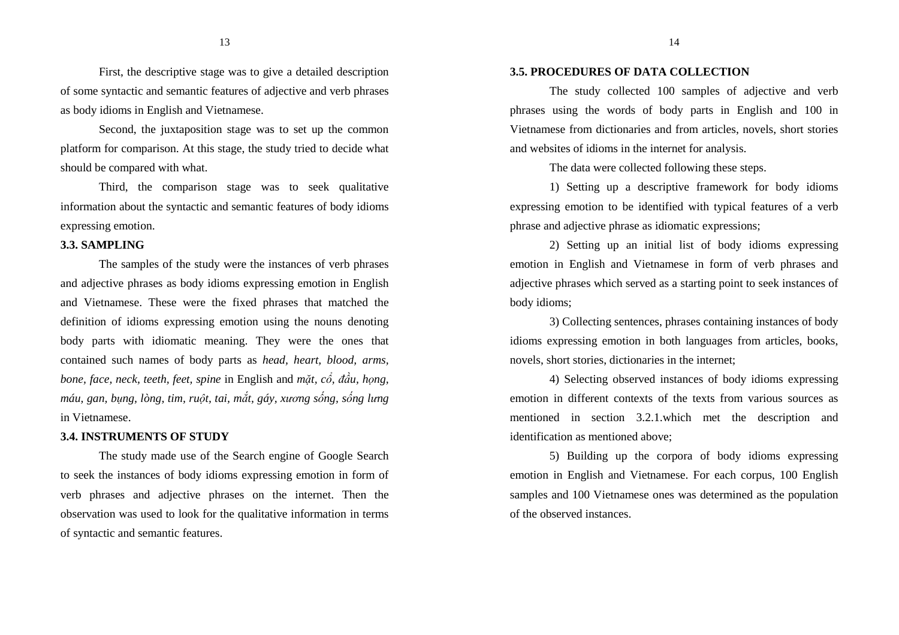13

First, the descriptive stage was to give a detailed description of some syntactic and semantic features of adjective and verb phrases as body idioms in English and Vietnamese.

Second, the juxtaposition stage was to set up the common platform for comparison. At this stage, the study tried to decide what should be compared with what.

Third, the comparison stage was to seek qualitativeinformation about the syntactic and semantic features of body idioms expressing emotion.

#### **3.3. SAMPLING**

The samples of the study were the instances of verb phrases and adjective phrases as body idioms expressing emotion in English and Vietnamese. These were the fixed phrases that matched the definition of idioms expressing emotion using the nouns denoting body parts with idiomatic meaning. They were the ones that contained such names of body parts as *head, heart, blood, arms, bone, face, neck, teeth, feet, spine* in English and *mặt, cổ, ñầu, họng, máu, gan, bụng, lòng, tim, ruột, tai, mắt, gáy, xương sống, sống lưng*in Vietnamese.

## **3.4. INSTRUMENTS OF STUDY**

The study made use of the Search engine of Google Search to seek the instances of body idioms expressing emotion in form of verb phrases and adjective phrases on the internet. Then the observation was used to look for the qualitative information in terms of syntactic and semantic features.

### **3.5. PROCEDURES OF DATA COLLECTION**

The study collected 100 samples of adjective and verb phrases using the words of body parts in English and 100 in Vietnamese from dictionaries and from articles, novels, short stories and websites of idioms in the internet for analysis.

The data were collected following these steps.

1) Setting up a descriptive framework for body idioms expressing emotion to be identified with typical features of a verb phrase and adjective phrase as idiomatic expressions;

2) Setting up an initial list of body idioms expressing emotion in English and Vietnamese in form of verb phrases and adjective phrases which served as a starting point to seek instances of body idioms;

3) Collecting sentences, phrases containing instances of body idioms expressing emotion in both languages from articles, books, novels, short stories, dictionaries in the internet;

4) Selecting observed instances of body idioms expressing emotion in different contexts of the texts from various sources as mentioned in section 3.2.1.which met the description and identification as mentioned above;

5) Building up the corpora of body idioms expressing emotion in English and Vietnamese. For each corpus, 100 English samples and 100 Vietnamese ones was determined as the population of the observed instances.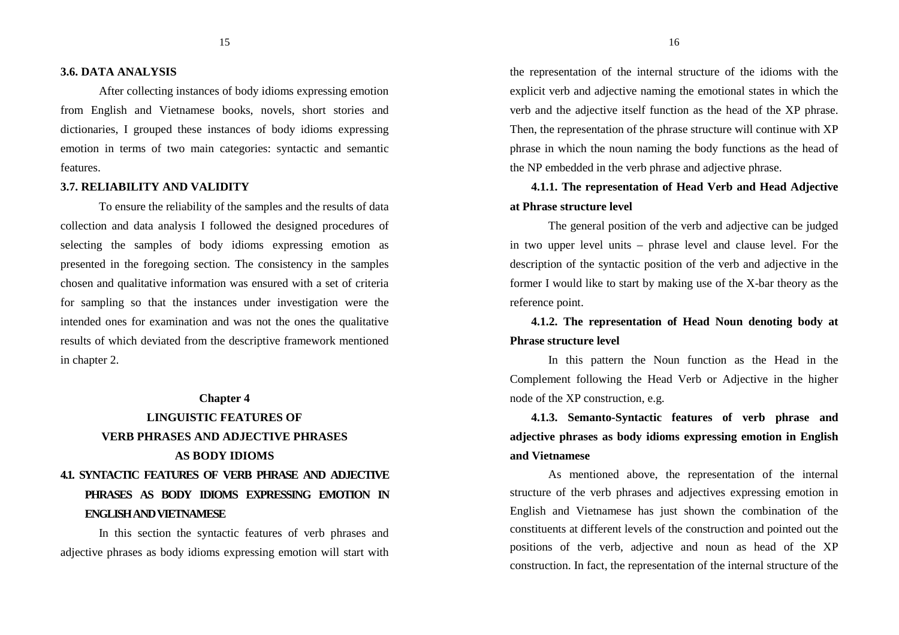#### **3.6. DATA ANALYSIS**

After collecting instances of body idioms expressing emotion from English and Vietnamese books, novels, short stories and dictionaries, I grouped these instances of body idioms expressing emotion in terms of two main categories: syntactic and semantic features.

#### **3.7. RELIABILITY AND VALIDITY**

To ensure the reliability of the samples and the results of data collection and data analysis I followed the designed procedures of selecting the samples of body idioms expressing emotion as presented in the foregoing section. The consistency in the samples chosen and qualitative information was ensured with a set of criteria for sampling so that the instances under investigation were the intended ones for examination and was not the ones the qualitative results of which deviated from the descriptive framework mentioned in chapter 2.

# **Chapter 4 LINGUISTIC FEATURES OF VERB PHRASES AND ADJECTIVE PHRASES AS BODY IDIOMS4.1. SYNTACTIC FEATURES OF VERB PHRASE AND ADJECTIVE PHRASES AS BODY IDIOMS EXPRESSING EMOTION IN ENGLISH AND VIETNAMESE**

In this section the syntactic features of verb phrases and adjective phrases as body idioms expressing emotion will start with the representation of the internal structure of the idioms with the explicit verb and adjective naming the emotional states in which the verb and the adjective itself function as the head of the XP phrase. Then, the representation of the phrase structure will continue with XP phrase in which the noun naming the body functions as the head of the NP embedded in the verb phrase and adjective phrase.

## **4.1.1. The representation of Head Verb and Head Adjective at Phrase structure level**

The general position of the verb and adjective can be judged in two upper level units – phrase level and clause level. For the description of the syntactic position of the verb and adjective in the former I would like to start by making use of the X-bar theory as the reference point.

**4.1.2. The representation of Head Noun denoting body at Phrase structure level** 

 In this pattern the Noun function as the Head in the Complement following the Head Verb or Adjective in the higher node of the XP construction, e.g.

**4.1.3. Semanto-Syntactic features of verb phrase and adjective phrases as body idioms expressing emotion in English and Vietnamese** 

 As mentioned above, the representation of the internal structure of the verb phrases and adjectives expressing emotion in English and Vietnamese has just shown the combination of the constituents at different levels of the construction and pointed out the positions of the verb, adjective and noun as head of the XP construction. In fact, the representation of the internal structure of the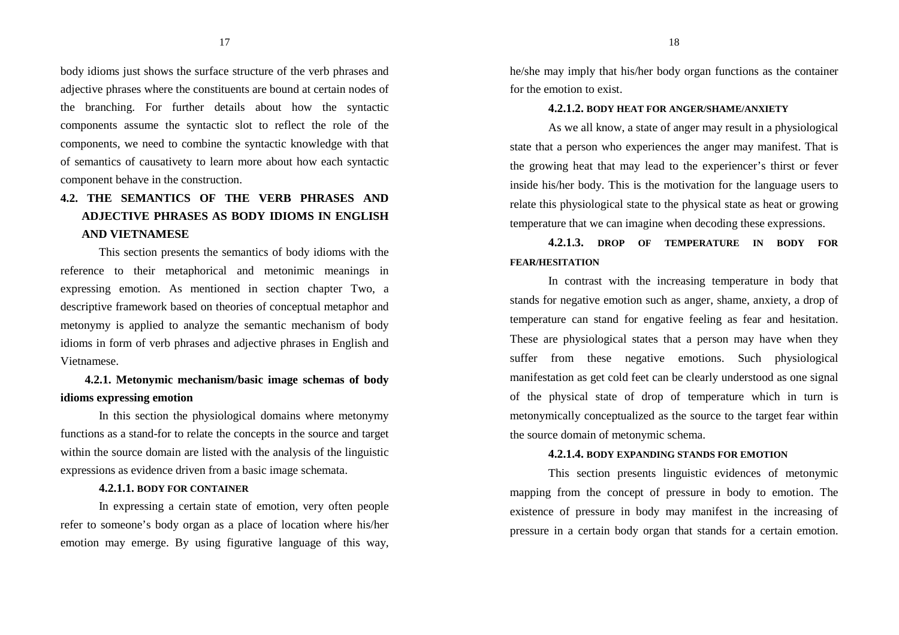body idioms just shows the surface structure of the verb phrases and adjective phrases where the constituents are bound at certain nodes of the branching. For further details about how the syntactic components assume the syntactic slot to reflect the role of the components, we need to combine the syntactic knowledge with that of semantics of causativety to learn more about how each syntactic component behave in the construction.

## **4.2. THE SEMANTICS OF THE VERB PHRASES AND ADJECTIVE PHRASES AS BODY IDIOMS IN ENGLISH AND VIETNAMESE**

 This section presents the semantics of body idioms with the reference to their metaphorical and metonimic meanings in expressing emotion. As mentioned in section chapter Two, a descriptive framework based on theories of conceptual metaphor and metonymy is applied to analyze the semantic mechanism of body idioms in form of verb phrases and adjective phrases in English and Vietnamese.

## **4.2.1. Metonymic mechanism/basic image schemas of body idioms expressing emotion**

 In this section the physiological domains where metonymy functions as a stand-for to relate the concepts in the source and target within the source domain are listed with the analysis of the linguistic expressions as evidence driven from a basic image schemata.

## **4.2.1.1. BODY FOR CONTAINER**

 In expressing a certain state of emotion, very often people refer to someone's body organ as a place of location where his/her emotion may emerge. By using figurative language of this way, he/she may imply that his/her body organ functions as the container for the emotion to exist.

#### **4.2.1.2. BODY HEAT FOR ANGER/SHAME/ANXIETY**

 As we all know, a state of anger may result in a physiological state that a person who experiences the anger may manifest. That is the growing heat that may lead to the experiencer's thirst or fever inside his/her body. This is the motivation for the language users to relate this physiological state to the physical state as heat or growing temperature that we can imagine when decoding these expressions.

**4.2.1.3. DROP OF TEMPERATURE IN BODY FOR FEAR/HESITATION**

 In contrast with the increasing temperature in body that stands for negative emotion such as anger, shame, anxiety, a drop of temperature can stand for engative feeling as fear and hesitation. These are physiological states that a person may have when they suffer from these negative emotions. Such physiological manifestation as get cold feet can be clearly understood as one signal of the physical state of drop of temperature which in turn is metonymically conceptualized as the source to the target fear within the source domain of metonymic schema.

#### **4.2.1.4. BODY EXPANDING STANDS FOR EMOTION**

 This section presents linguistic evidences of metonymic mapping from the concept of pressure in body to emotion. The existence of pressure in body may manifest in the increasing of pressure in a certain body organ that stands for a certain emotion.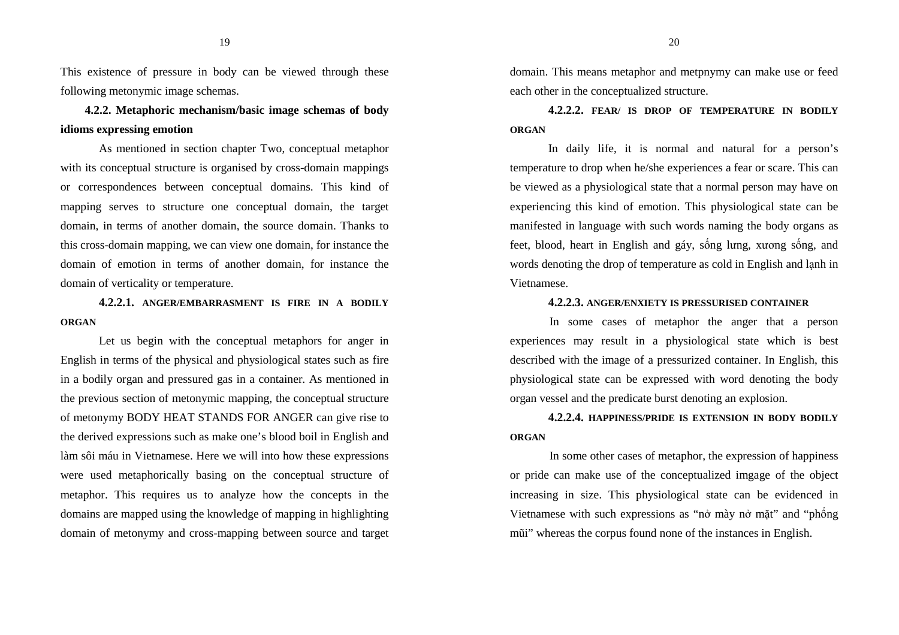19

This existence of pressure in body can be viewed through these following metonymic image schemas.

**4.2.2. Metaphoric mechanism/basic image schemas of body idioms expressing emotion** 

As mentioned in section chapter Two, conceptual metaphor with its conceptual structure is organised by cross-domain mappings or correspondences between conceptual domains. This kind of mapping serves to structure one conceptual domain, the target domain, in terms of another domain, the source domain. Thanks to this cross-domain mapping, we can view one domain, for instance the domain of emotion in terms of another domain, for instance the domain of verticality or temperature.

**4.2.2.1. ANGER/EMBARRASMENT IS FIRE IN A BODILY ORGAN**

 Let us begin with the conceptual metaphors for anger in English in terms of the physical and physiological states such as fire in a bodily organ and pressured gas in a container. As mentioned in the previous section of metonymic mapping, the conceptual structure of metonymy BODY HEAT STANDS FOR ANGER can give rise to the derived expressions such as make one's blood boil in English and làm sôi máu in Vietnamese. Here we will into how these expressions were used metaphorically basing on the conceptual structure of metaphor. This requires us to analyze how the concepts in the domains are mapped using the knowledge of mapping in highlighting domain of metonymy and cross-mapping between source and target domain. This means metaphor and metpnymy can make use or feed each other in the conceptualized structure.

**4.2.2.2. FEAR/ IS DROP OF TEMPERATURE IN BODILY ORGAN** 

 In daily life, it is normal and natural for a person's temperature to drop when he/she experiences a fear or scare. This can be viewed as a physiological state that a normal person may have on experiencing this kind of emotion. This physiological state can be manifested in language with such words naming the body organs as feet, blood, heart in English and gáy, sống lưng, xương sống, an<sup>d</sup>words denoting the drop of temperature as cold in English and lạnh in Vietnamese.

#### **4.2.2.3. ANGER/ENXIETY IS PRESSURISED CONTAINER**

In some cases of metaphor the anger that a person experiences may result in a physiological state which is best described with the image of a pressurized container. In English, this physiological state can be expressed with word denoting the body organ vessel and the predicate burst denoting an explosion.

**4.2.2.4. HAPPINESS/PRIDE IS EXTENSION IN BODY BODILY ORGAN**

In some other cases of metaphor, the expression of happiness or pride can make use of the conceptualized imgage of the object increasing in size. This physiological state can be evidenced in Vietnamese with such expressions as "nở mày nở mặt" and "phổng mũi" whereas the corpus found none of the instances in English.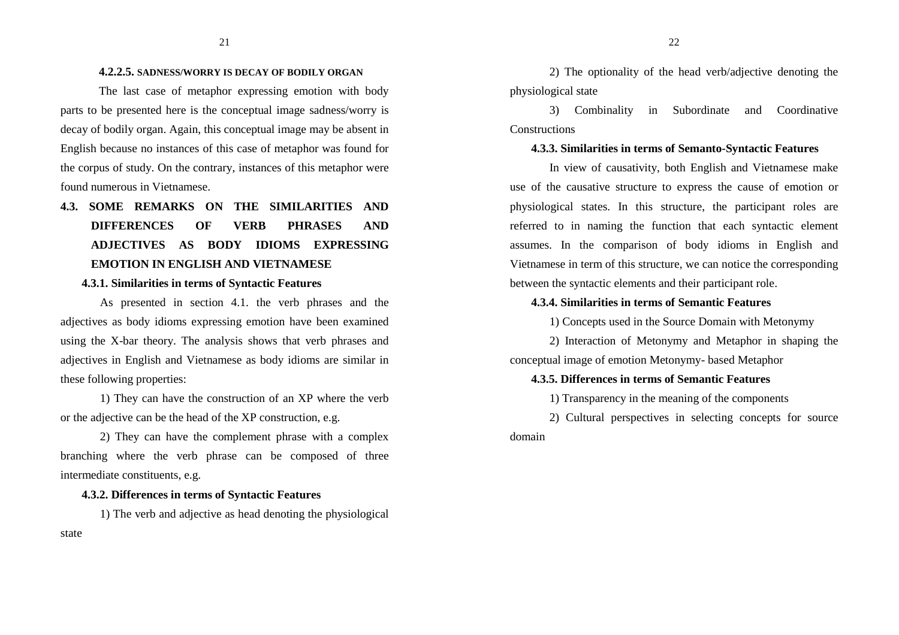#### **4.2.2.5. SADNESS/WORRY IS DECAY OF BODILY ORGAN**

 The last case of metaphor expressing emotion with body parts to be presented here is the conceptual image sadness/worry is decay of bodily organ. Again, this conceptual image may be absent in English because no instances of this case of metaphor was found for the corpus of study. On the contrary, instances of this metaphor were found numerous in Vietnamese.

# **4.3. SOME REMARKS ON THE SIMILARITIES AND DIFFERENCES OF VERB PHRASES AND ADJECTIVES AS BODY IDIOMS EXPRESSING EMOTION IN ENGLISH AND VIETNAMESE**

### **4.3.1. Similarities in terms of Syntactic Features**

As presented in section 4.1. the verb phrases and the adjectives as body idioms expressing emotion have been examined using the X-bar theory. The analysis shows that verb phrases and adjectives in English and Vietnamese as body idioms are similar in these following properties:

1) They can have the construction of an XP where the verb or the adjective can be the head of the XP construction, e.g.

2) They can have the complement phrase with a complex branching where the verb phrase can be composed of three intermediate constituents, e.g.

### **4.3.2. Differences in terms of Syntactic Features**

1) The verb and adjective as head denoting the physiological

2) The optionality of the head verb/adjective denoting the physiological state

3) Combinality in Subordinate and Coordinative Constructions

## **4.3.3. Similarities in terms of Semanto-Syntactic Features**

In view of causativity, both English and Vietnamese make use of the causative structure to express the cause of emotion or physiological states. In this structure, the participant roles are referred to in naming the function that each syntactic element assumes. In the comparison of body idioms in English and Vietnamese in term of this structure, we can notice the corresponding between the syntactic elements and their participant role.

#### **4.3.4. Similarities in terms of Semantic Features**

1) Concepts used in the Source Domain with Metonymy

2) Interaction of Metonymy and Metaphor in shaping the conceptual image of emotion Metonymy- based Metaphor

#### **4.3.5. Differences in terms of Semantic Features**

1) Transparency in the meaning of the components

2) Cultural perspectives in selecting concepts for source domain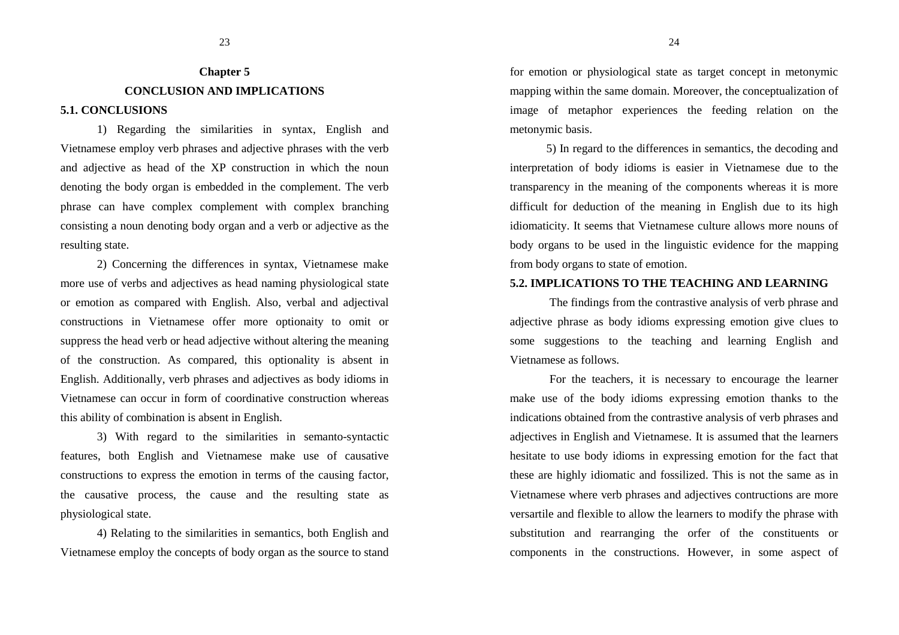# **Chapter 5 CONCLUSION AND IMPLICATIONS**

## **5.1. CONCLUSIONS**

1) Regarding the similarities in syntax, English and Vietnamese employ verb phrases and adjective phrases with the verb and adjective as head of the XP construction in which the noun denoting the body organ is embedded in the complement. The verb phrase can have complex complement with complex branching consisting a noun denoting body organ and a verb or adjective as the resulting state.

2) Concerning the differences in syntax, Vietnamese make more use of verbs and adjectives as head naming physiological state or emotion as compared with English. Also, verbal and adjectival constructions in Vietnamese offer more optionaity to omit or suppress the head verb or head adjective without altering the meaning of the construction. As compared, this optionality is absent in English. Additionally, verb phrases and adjectives as body idioms in Vietnamese can occur in form of coordinative construction whereas this ability of combination is absent in English.

3) With regard to the similarities in semanto-syntactic features, both English and Vietnamese make use of causative constructions to express the emotion in terms of the causing factor, the causative process, the cause and the resulting state as physiological state.

4) Relating to the similarities in semantics, both English and Vietnamese employ the concepts of body organ as the source to stand for emotion or physiological state as target concept in metonymic mapping within the same domain. Moreover, the conceptualization of image of metaphor experiences the feeding relation on the metonymic basis.

5) In regard to the differences in semantics, the decoding and interpretation of body idioms is easier in Vietnamese due to the transparency in the meaning of the components whereas it is more difficult for deduction of the meaning in English due to its high idiomaticity. It seems that Vietnamese culture allows more nouns of body organs to be used in the linguistic evidence for the mapping from body organs to state of emotion.

## **5.2. IMPLICATIONS TO THE TEACHING AND LEARNING**

The findings from the contrastive analysis of verb phrase and adjective phrase as body idioms expressing emotion give clues to some suggestions to the teaching and learning English and Vietnamese as follows.

For the teachers, it is necessary to encourage the learner make use of the body idioms expressing emotion thanks to the indications obtained from the contrastive analysis of verb phrases and adjectives in English and Vietnamese. It is assumed that the learners hesitate to use body idioms in expressing emotion for the fact that these are highly idiomatic and fossilized. This is not the same as in Vietnamese where verb phrases and adjectives contructions are more versartile and flexible to allow the learners to modify the phrase with substitution and rearranging the orfer of the constituents or components in the constructions. However, in some aspect of